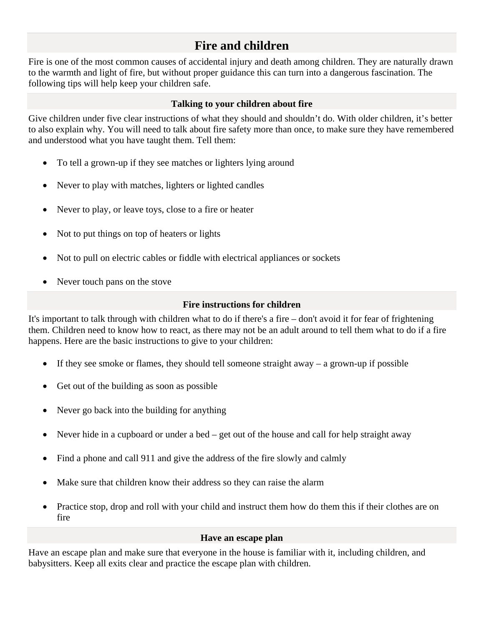# **Fire and children**

Fire is one of the most common causes of accidental injury and death among children. They are naturally drawn to the warmth and light of fire, but without proper guidance this can turn into a dangerous fascination. The following tips will help keep your children safe.

### **Talking to your children about fire**

Give children under five clear instructions of what they should and shouldn't do. With older children, it's better to also explain why. You will need to talk about fire safety more than once, to make sure they have remembered and understood what you have taught them. Tell them:

- To tell a grown-up if they see matches or lighters lying around
- Never to play with matches, lighters or lighted candles
- Never to play, or leave toys, close to a fire or heater
- Not to put things on top of heaters or lights
- Not to pull on electric cables or fiddle with electrical appliances or sockets
- Never touch pans on the stove

## **Fire instructions for children**

It's important to talk through with children what to do if there's a fire – don't avoid it for fear of frightening them. Children need to know how to react, as there may not be an adult around to tell them what to do if a fire happens. Here are the basic instructions to give to your children:

- If they see smoke or flames, they should tell someone straight away a grown-up if possible
- Get out of the building as soon as possible
- Never go back into the building for anything
- Never hide in a cupboard or under a bed get out of the house and call for help straight away
- Find a phone and call 911 and give the address of the fire slowly and calmly
- Make sure that children know their address so they can raise the alarm
- Practice stop, drop and roll with your child and instruct them how do them this if their clothes are on fire

## **Have an escape plan**

Have an escape plan and make sure that everyone in the house is familiar with it, including children, and babysitters. Keep all exits clear and practice the escape plan with children.